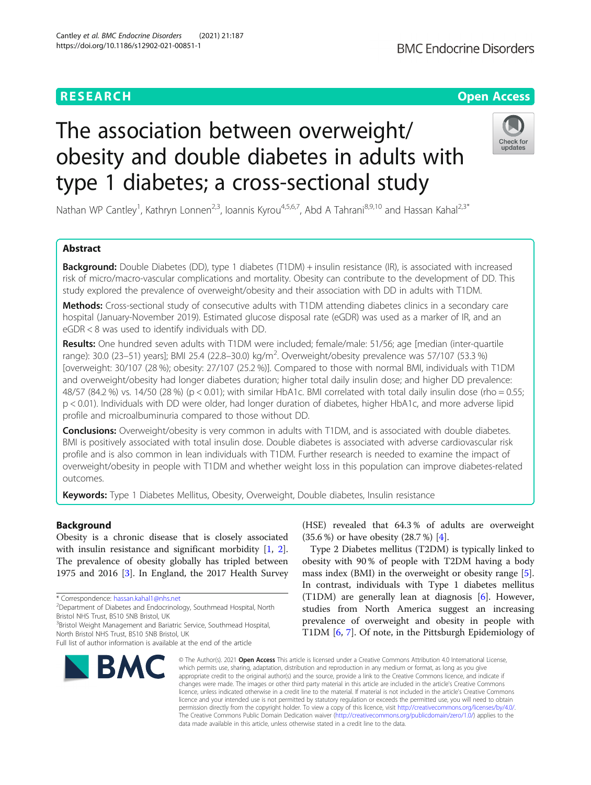# **RESEARCH CHE Open Access**

# The association between overweight/ obesity and double diabetes in adults with type 1 diabetes; a cross-sectional study

Nathan WP Cantley<sup>1</sup>, Kathryn Lonnen<sup>2,3</sup>, Ioannis Kyrou<sup>4,5,6,7</sup>, Abd A Tahrani<sup>8,9,10</sup> and Hassan Kahal<sup>2,3\*</sup>

# Abstract

**Background:** Double Diabetes (DD), type 1 diabetes (T1DM) + insulin resistance (IR), is associated with increased risk of micro/macro-vascular complications and mortality. Obesity can contribute to the development of DD. This study explored the prevalence of overweight/obesity and their association with DD in adults with T1DM.

Methods: Cross-sectional study of consecutive adults with T1DM attending diabetes clinics in a secondary care hospital (January-November 2019). Estimated glucose disposal rate (eGDR) was used as a marker of IR, and an eGDR < 8 was used to identify individuals with DD.

Results: One hundred seven adults with T1DM were included; female/male: 51/56; age [median (inter-quartile range): 30.0 (23–51) years]; BMI 25.4 (22.8–30.0) kg/m<sup>2</sup>. Overweight/obesity prevalence was 57/107 (53.3 %) [overweight: 30/107 (28 %); obesity: 27/107 (25.2 %)]. Compared to those with normal BMI, individuals with T1DM and overweight/obesity had longer diabetes duration; higher total daily insulin dose; and higher DD prevalence: 48/57 (84.2 %) vs. 14/50 (28 %) (p < 0.01); with similar HbA1c. BMI correlated with total daily insulin dose (rho = 0.55; p < 0.01). Individuals with DD were older, had longer duration of diabetes, higher HbA1c, and more adverse lipid profile and microalbuminuria compared to those without DD.

**Conclusions:** Overweight/obesity is very common in adults with T1DM, and is associated with double diabetes. BMI is positively associated with total insulin dose. Double diabetes is associated with adverse cardiovascular risk profile and is also common in lean individuals with T1DM. Further research is needed to examine the impact of overweight/obesity in people with T1DM and whether weight loss in this population can improve diabetes-related outcomes.

Keywords: Type 1 Diabetes Mellitus, Obesity, Overweight, Double diabetes, Insulin resistance

# Background

Obesity is a chronic disease that is closely associated with insulin resistance and significant morbidity [[1,](#page-6-0) [2](#page-6-0)]. The prevalence of obesity globally has tripled between 1975 and 2016 [[3\]](#page-6-0). In England, the 2017 Health Survey

\* Correspondence: [hassan.kahal1@nhs.net](mailto:hassan.kahal1@nhs.net) <sup>2</sup>

<sup>2</sup>Department of Diabetes and Endocrinology, Southmead Hospital, North Bristol NHS Trust, BS10 5NB Bristol, UK

<sup>3</sup> Bristol Weight Management and Bariatric Service, Southmead Hospital, North Bristol NHS Trust, BS10 5NB Bristol, UK

BMC

(HSE) revealed that 64.3 % of adults are overweight (35.6 %) or have obesity (28.7 %) [[4](#page-6-0)].

Type 2 Diabetes mellitus (T2DM) is typically linked to obesity with 90 % of people with T2DM having a body mass index (BMI) in the overweight or obesity range [\[5](#page-6-0)]. In contrast, individuals with Type 1 diabetes mellitus (T1DM) are generally lean at diagnosis [\[6](#page-6-0)]. However, studies from North America suggest an increasing prevalence of overweight and obesity in people with T1DM [[6,](#page-6-0) [7\]](#page-6-0). Of note, in the Pittsburgh Epidemiology of

© The Author(s), 2021 **Open Access** This article is licensed under a Creative Commons Attribution 4.0 International License, which permits use, sharing, adaptation, distribution and reproduction in any medium or format, as long as you give appropriate credit to the original author(s) and the source, provide a link to the Creative Commons licence, and indicate if changes were made. The images or other third party material in this article are included in the article's Creative Commons licence, unless indicated otherwise in a credit line to the material. If material is not included in the article's Creative Commons licence and your intended use is not permitted by statutory regulation or exceeds the permitted use, you will need to obtain permission directly from the copyright holder. To view a copy of this licence, visit [http://creativecommons.org/licenses/by/4.0/.](http://creativecommons.org/licenses/by/4.0/) The Creative Commons Public Domain Dedication waiver [\(http://creativecommons.org/publicdomain/zero/1.0/](http://creativecommons.org/publicdomain/zero/1.0/)) applies to the data made available in this article, unless otherwise stated in a credit line to the data.





Full list of author information is available at the end of the article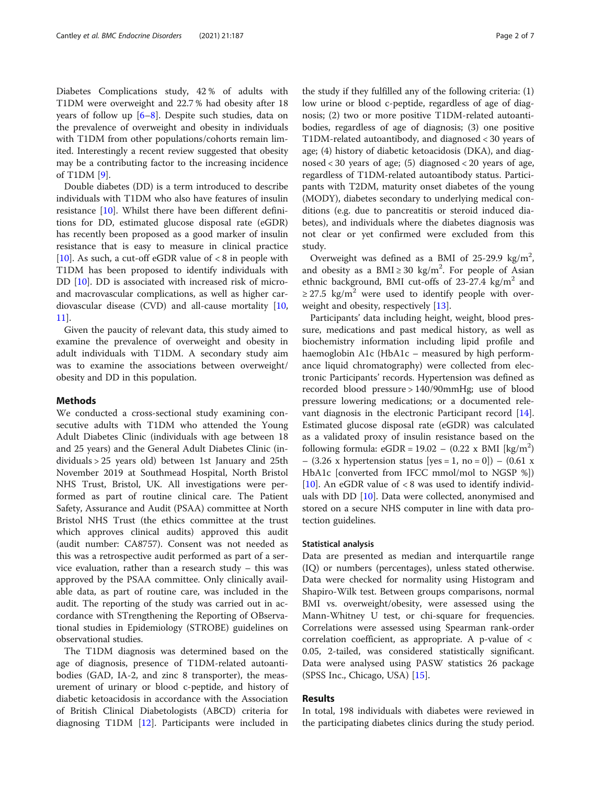Diabetes Complications study, 42 % of adults with T1DM were overweight and 22.7 % had obesity after 18 years of follow up  $[6-8]$  $[6-8]$  $[6-8]$  $[6-8]$ . Despite such studies, data on the prevalence of overweight and obesity in individuals with T1DM from other populations/cohorts remain limited. Interestingly a recent review suggested that obesity may be a contributing factor to the increasing incidence of T1DM [\[9](#page-6-0)].

Double diabetes (DD) is a term introduced to describe individuals with T1DM who also have features of insulin resistance [[10\]](#page-6-0). Whilst there have been different definitions for DD, estimated glucose disposal rate (eGDR) has recently been proposed as a good marker of insulin resistance that is easy to measure in clinical practice [[10\]](#page-6-0). As such, a cut-off eGDR value of  $< 8$  in people with T1DM has been proposed to identify individuals with DD [[10\]](#page-6-0). DD is associated with increased risk of microand macrovascular complications, as well as higher cardiovascular disease (CVD) and all-cause mortality [[10](#page-6-0), [11\]](#page-6-0).

Given the paucity of relevant data, this study aimed to examine the prevalence of overweight and obesity in adult individuals with T1DM. A secondary study aim was to examine the associations between overweight/ obesity and DD in this population.

# Methods

We conducted a cross-sectional study examining consecutive adults with T1DM who attended the Young Adult Diabetes Clinic (individuals with age between 18 and 25 years) and the General Adult Diabetes Clinic (individuals > 25 years old) between 1st January and 25th November 2019 at Southmead Hospital, North Bristol NHS Trust, Bristol, UK. All investigations were performed as part of routine clinical care. The Patient Safety, Assurance and Audit (PSAA) committee at North Bristol NHS Trust (the ethics committee at the trust which approves clinical audits) approved this audit (audit number: CA8757). Consent was not needed as this was a retrospective audit performed as part of a service evaluation, rather than a research study – this was approved by the PSAA committee. Only clinically available data, as part of routine care, was included in the audit. The reporting of the study was carried out in accordance with STrengthening the Reporting of OBservational studies in Epidemiology (STROBE) guidelines on observational studies.

The T1DM diagnosis was determined based on the age of diagnosis, presence of T1DM-related autoantibodies (GAD, IA-2, and zinc 8 transporter), the measurement of urinary or blood c-peptide, and history of diabetic ketoacidosis in accordance with the Association of British Clinical Diabetologists (ABCD) criteria for diagnosing T1DM [[12](#page-6-0)]. Participants were included in

the study if they fulfilled any of the following criteria: (1) low urine or blood c-peptide, regardless of age of diagnosis; (2) two or more positive T1DM-related autoantibodies, regardless of age of diagnosis; (3) one positive T1DM-related autoantibody, and diagnosed < 30 years of age; (4) history of diabetic ketoacidosis (DKA), and diagnosed < 30 years of age; (5) diagnosed < 20 years of age, regardless of T1DM-related autoantibody status. Participants with T2DM, maturity onset diabetes of the young (MODY), diabetes secondary to underlying medical conditions (e.g. due to pancreatitis or steroid induced diabetes), and individuals where the diabetes diagnosis was not clear or yet confirmed were excluded from this study.

Overweight was defined as a BMI of  $25-29.9$  kg/m<sup>2</sup>, and obesity as a BMI  $\geq$  30 kg/m<sup>2</sup>. For people of Asian ethnic background, BMI cut-offs of  $23-27.4$  kg/m<sup>2</sup> and  $\geq$  27.5 kg/m<sup>2</sup> were used to identify people with overweight and obesity, respectively [[13\]](#page-6-0).

Participants' data including height, weight, blood pressure, medications and past medical history, as well as biochemistry information including lipid profile and haemoglobin A1c (HbA1c – measured by high performance liquid chromatography) were collected from electronic Participants' records. Hypertension was defined as recorded blood pressure > 140/90mmHg; use of blood pressure lowering medications; or a documented relevant diagnosis in the electronic Participant record [\[14](#page-6-0)]. Estimated glucose disposal rate (eGDR) was calculated as a validated proxy of insulin resistance based on the following formula:  $eGDR = 19.02 - (0.22 \times BMI [kg/m<sup>2</sup>)$ –  $(3.26 \times hypertension status [yes = 1, no = 0])$  –  $(0.61 \times$ HbA1c [converted from IFCC mmol/mol to NGSP %]) [[10\]](#page-6-0). An eGDR value of  $< 8$  was used to identify individuals with DD [\[10\]](#page-6-0). Data were collected, anonymised and stored on a secure NHS computer in line with data protection guidelines.

#### Statistical analysis

Data are presented as median and interquartile range (IQ) or numbers (percentages), unless stated otherwise. Data were checked for normality using Histogram and Shapiro-Wilk test. Between groups comparisons, normal BMI vs. overweight/obesity, were assessed using the Mann-Whitney U test, or chi-square for frequencies. Correlations were assessed using Spearman rank-order correlation coefficient, as appropriate. A p-value of < 0.05, 2-tailed, was considered statistically significant. Data were analysed using PASW statistics 26 package (SPSS Inc., Chicago, USA) [\[15](#page-6-0)].

# Results

In total, 198 individuals with diabetes were reviewed in the participating diabetes clinics during the study period.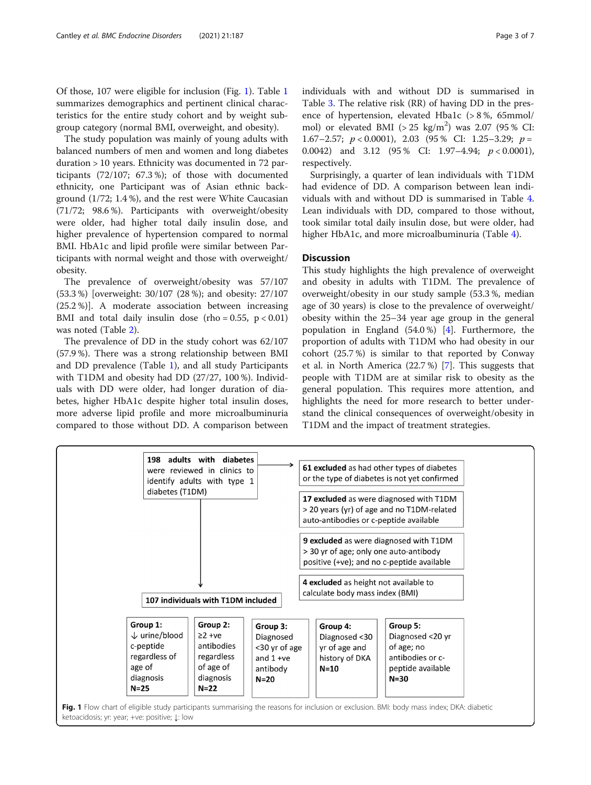Of those, 107 were eligible for inclusion (Fig. 1). Table [1](#page-3-0) summarizes demographics and pertinent clinical characteristics for the entire study cohort and by weight subgroup category (normal BMI, overweight, and obesity).

The study population was mainly of young adults with balanced numbers of men and women and long diabetes duration > 10 years. Ethnicity was documented in 72 participants (72/107; 67.3 %); of those with documented ethnicity, one Participant was of Asian ethnic background (1/72; 1.4 %), and the rest were White Caucasian (71/72; 98.6 %). Participants with overweight/obesity were older, had higher total daily insulin dose, and higher prevalence of hypertension compared to normal BMI. HbA1c and lipid profile were similar between Participants with normal weight and those with overweight/ obesity.

The prevalence of overweight/obesity was 57/107 (53.3 %) [overweight: 30/107 (28 %); and obesity: 27/107 (25.2 %)]. A moderate association between increasing BMI and total daily insulin dose (rho =  $0.55$ , p <  $0.01$ ) was noted (Table [2\)](#page-3-0).

The prevalence of DD in the study cohort was 62/107 (57.9 %). There was a strong relationship between BMI and DD prevalence (Table [1\)](#page-3-0), and all study Participants with T1DM and obesity had DD (27/27, 100 %). Individuals with DD were older, had longer duration of diabetes, higher HbA1c despite higher total insulin doses, more adverse lipid profile and more microalbuminuria compared to those without DD. A comparison between

individuals with and without DD is summarised in Table [3.](#page-4-0) The relative risk (RR) of having DD in the presence of hypertension, elevated Hba1c (> 8 %, 65mmol/ mol) or elevated BMI  $(>25 \text{ kg/m}^2)$  was 2.07 (95% CI: 1.67–2.57;  $p < 0.0001$ ), 2.03 (95 % CI: 1.25–3.29;  $p =$ 0.0042) and 3.12 (95% CI:  $1.97-4.94$ ;  $p < 0.0001$ ), respectively.

Surprisingly, a quarter of lean individuals with T1DM had evidence of DD. A comparison between lean individuals with and without DD is summarised in Table [4](#page-5-0). Lean individuals with DD, compared to those without, took similar total daily insulin dose, but were older, had higher HbA1c, and more microalbuminuria (Table [4](#page-5-0)).

# **Discussion**

This study highlights the high prevalence of overweight and obesity in adults with T1DM. The prevalence of overweight/obesity in our study sample (53.3 %, median age of 30 years) is close to the prevalence of overweight/ obesity within the 25–34 year age group in the general population in England (54.0 %) [\[4](#page-6-0)]. Furthermore, the proportion of adults with T1DM who had obesity in our cohort (25.7 %) is similar to that reported by Conway et al. in North America (22.7 %) [\[7](#page-6-0)]. This suggests that people with T1DM are at similar risk to obesity as the general population. This requires more attention, and highlights the need for more research to better understand the clinical consequences of overweight/obesity in T1DM and the impact of treatment strategies.

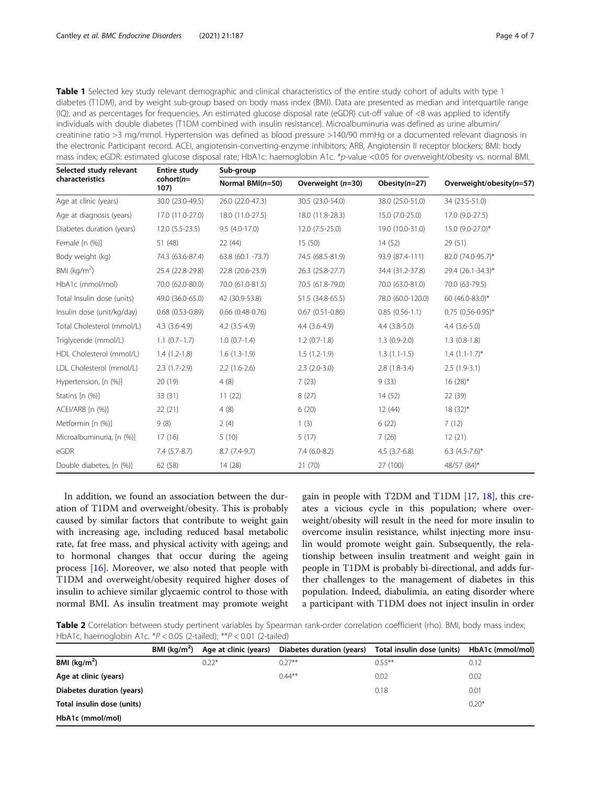<span id="page-3-0"></span>Table 1 Selected key study relevant demographic and clinical characteristics of the entire study cohort of adults with type 1 diabetes (T1DM), and by weight sub-group based on body mass index (BMI). Data are presented as median and interquartile range (IQ), and as percentages for frequencies. An estimated glucose disposal rate (eGDR) cut-off value of <8 was applied to identify individuals with double diabetes (T1DM combined with insulin resistance). Microalbuminuria was defined as urine albumin/ creatinine ratio >3 mg/mmol. Hypertension was defined as blood pressure >140/90 mmHg or a documented relevant diagnosis in the electronic Participant record. ACEI, angiotensin-converting-enzyme inhibitors; ARB, Angiotensin II receptor blockers; BMI: body mass index; eGDR: estimated glucose disposal rate; HbA1c: haemoglobin A1c. \*p-value <0.05 for overweight/obesity vs. normal BMI.

| Selected study relevant    | <b>Entire study</b><br>$cohort(n=$<br>107) | Sub-group              |                        |                   |                          |  |
|----------------------------|--------------------------------------------|------------------------|------------------------|-------------------|--------------------------|--|
| characteristics            |                                            | Normal $BMI(n=50)$     | Overweight (n=30)      | Obesity $(n=27)$  | Overweight/obesity(n=57) |  |
| Age at clinic (years)      | 30.0 (23.0-49.5)                           | 26.0 (22.0-47.3)       | 30.5 (23.0-54.0)       | 38.0 (25.0-51.0)  | 34 (23.5-51.0)           |  |
| Age at diagnosis (years)   | 17.0 (11.0-27.0)                           | 18.0 (11.0-27.5)       | 18.0 (11.8-28.3)       | 15.0 (7.0-25.0)   | 17.0 (9.0-27.5)          |  |
| Diabetes duration (years)  | $12.0(5.5-23.5)$                           | $9.5(4.0-17.0)$        | 12.0 (7.5-25.0)        | 19.0 (10.0-31.0)  | 15.0 (9.0-27.0)*         |  |
| Female [n (%)]             | 51 (48)                                    | 22(44)                 | 15(50)                 | 14(52)            | 29(51)                   |  |
| Body weight (kg)           | 74.3 (63.6-87.4)                           | 63.8 (60.1 -73.7)      | 74.5 (68.5-81.9)       | 93.9 (87.4-111)   | 82.0 (74.0-95.7)*        |  |
| BMI ( $kg/m2$ )            | 25.4 (22.8-29.8)                           | 22.8 (20.6-23.9)       | 26.3 (25.8-27.7)       | 34.4 (31.2-37.8)  | 29.4 (26.1-34.3)*        |  |
| HbA1c (mmol/mol)           | 70.0 (62.0-80.0)                           | 70.0 (61.0-81.5)       | 70.5 (61.8-79.0)       | 70.0 (63.0-81.0)  | 70.0 (63-79.5)           |  |
| Total Insulin dose (units) | 49.0 (36.0-65.0)                           | 42 (30.9-53.8)         | 51.5 (34.8-65.5)       | 78.0 (60.0-120.0) | 60 (46.0-83.0)*          |  |
| Insulin dose (unit/kg/day) | $0.68$ $(0.53 - 0.89)$                     | $0.66$ $(0.48 - 0.76)$ | $0.67$ $(0.51 - 0.86)$ | $0.85(0.56-1.1)$  | $0.75$ (0.56-0.95)*      |  |
| Total Cholesterol (mmol/L) | $4.3(3.6-4.9)$                             | $4.2$ $(3.5-4.9)$      | $4.4(3.6-4.9)$         | $4.4$ (3.8-5.0)   | $4.4(3.6-5.0)$           |  |
| Triglyceride (mmol/L)      | $1.1(0.7-1.7)$                             | $1.0(0.7-1.4)$         | $1.2(0.7-1.8)$         | $1.3(0.9-2.0)$    | $1.3(0.8-1.8)$           |  |
| HDL Cholesterol (mmol/L)   | $1.4(1.2-1.8)$                             | $1.6(1.3-1.9)$         | $1.5(1.2-1.9)$         | $1.3(1.1-1.5)$    | $1.4$ $(1.1-1.7)$ *      |  |
| LDL Cholesterol (mmol/L)   | $2.3(1.7-2.9)$                             | $2.2(1.6-2.6)$         | $2.3(2.0-3.0)$         | $2.8(1.8-3.4)$    | $2.5(1.9-3.1)$           |  |
| Hypertension, [n (%)]      | 20 (19)                                    | 4(8)                   | 7(23)                  | 9(33)             | $16(28)$ *               |  |
| Statins [n (%)]            | 33(31)                                     | 11(22)                 | 8(27)                  | 14(52)            | 22 (39)                  |  |
| ACEI/ARB [n (%)]           | 22(21)                                     | 4(8)                   | 6(20)                  | 12(44)            | $18(32)^{*}$             |  |
| Metformin [n (%)]          | 9(8)                                       | 2(4)                   | 1(3)                   | 6(22)             | 7(12)                    |  |
| Microalbuminuria, [n (%)]  | 17(16)                                     | 5(10)                  | 5(17)                  | 7(26)             | 12(21)                   |  |
| eGDR                       | $7.4(5.7-8.7)$                             | $8.7(7.4-9.7)$         | $7.4(6.0-8.2)$         | $4.5(3.7-6.8)$    | 6.3 $(4.5-7.6)$ *        |  |
| Double diabetes, [n (%)]   | 62 (58)                                    | 14 (28)                | 21(70)                 | 27 (100)          | 48/57 (84)*              |  |

In addition, we found an association between the duration of T1DM and overweight/obesity. This is probably caused by similar factors that contribute to weight gain with increasing age, including reduced basal metabolic rate, fat free mass, and physical activity with ageing; and to hormonal changes that occur during the ageing process [\[16](#page-6-0)]. Moreover, we also noted that people with T1DM and overweight/obesity required higher doses of insulin to achieve similar glycaemic control to those with normal BMI. As insulin treatment may promote weight

gain in people with T2DM and T1DM [[17,](#page-6-0) [18\]](#page-6-0), this creates a vicious cycle in this population; where overweight/obesity will result in the need for more insulin to overcome insulin resistance, whilst injecting more insulin would promote weight gain. Subsequently, the relationship between insulin treatment and weight gain in people in T1DM is probably bi-directional, and adds further challenges to the management of diabetes in this population. Indeed, diabulimia, an eating disorder where a participant with T1DM does not inject insulin in order

Table 2 Correlation between study pertinent variables by Spearman rank-order correlation coefficient (rho). BMI, body mass index; HbA1c, haemoglobin A1c. \*P < 0.05 (2-tailed); \*\*P < 0.01 (2-tailed)

|                            | BMI $(kq/m^2)$ | Age at clinic (years) | Diabetes duration (years) | Total insulin dose (units) | HbA1c (mmol/mol) |
|----------------------------|----------------|-----------------------|---------------------------|----------------------------|------------------|
| BMI $(kq/m2)$              |                | $0.22*$               | $0.27***$                 | $0.55***$                  | 0.12             |
| Age at clinic (years)      |                |                       | $0.44***$                 | 0.02                       | 0.02             |
| Diabetes duration (years)  |                |                       |                           | 0.18                       | 0.01             |
| Total insulin dose (units) |                |                       |                           |                            | $0.20*$          |
| HbA1c (mmol/mol)           |                |                       |                           |                            |                  |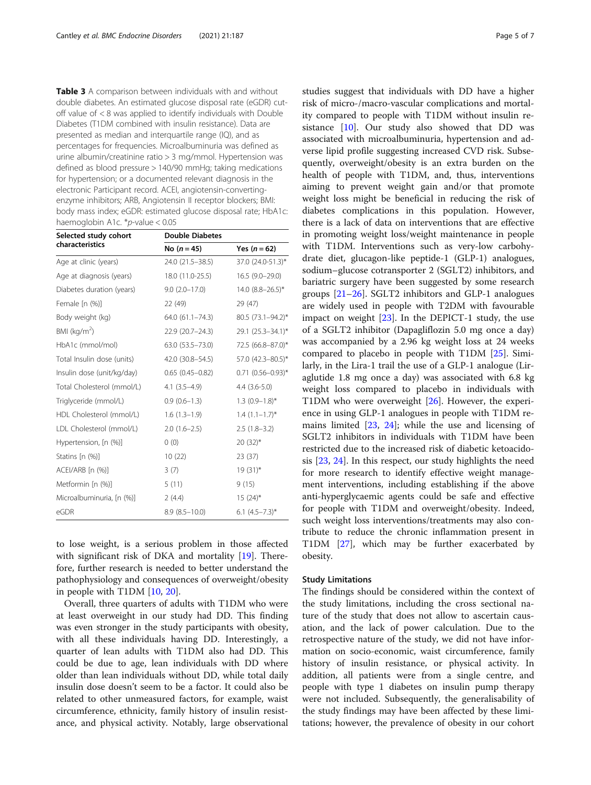<span id="page-4-0"></span>Table 3 A comparison between individuals with and without double diabetes. An estimated glucose disposal rate (eGDR) cutoff value of < 8 was applied to identify individuals with Double Diabetes (T1DM combined with insulin resistance). Data are presented as median and interquartile range (IQ), and as percentages for frequencies. Microalbuminuria was defined as urine albumin/creatinine ratio > 3 mg/mmol. Hypertension was defined as blood pressure > 140/90 mmHg; taking medications for hypertension; or a documented relevant diagnosis in the electronic Participant record. ACEI, angiotensin-convertingenzyme inhibitors; ARB, Angiotensin II receptor blockers; BMI: body mass index; eGDR: estimated glucose disposal rate; HbA1c: haemoglobin A1c. \*p-value < 0.05

| Selected study cohort      | <b>Double Diabetes</b> |                          |  |  |
|----------------------------|------------------------|--------------------------|--|--|
| characteristics            | No $(n = 45)$          | Yes $(n = 62)$           |  |  |
| Age at clinic (years)      | 24.0 (21.5-38.5)       | 37.0 (24.0-51.3)*        |  |  |
| Age at diagnosis (years)   | 18.0 (11.0-25.5)       | $16.5(9.0-29.0)$         |  |  |
| Diabetes duration (years)  | $9.0 (2.0 - 17.0)$     | 14.0 $(8.8 - 26.5)^*$    |  |  |
| Female [n (%)]             | 22 (49)                | 29 (47)                  |  |  |
| Body weight (kg)           | $64.0(61.1 - 74.3)$    | 80.5 (73.1-94.2)*        |  |  |
| BMI ( $kg/m2$ )            | 22.9 (20.7-24.3)       | 29.1 (25.3-34.1)*        |  |  |
| HbA1c (mmol/mol)           | 63.0 (53.5 - 73.0)     | 72.5 (66.8-87.0)*        |  |  |
| Total Insulin dose (units) | 42.0 (30.8-54.5)       | 57.0 (42.3-80.5)*        |  |  |
| Insulin dose (unit/kg/day) | $0.65(0.45 - 0.82)$    | $0.71$ $(0.56 - 0.93)$ * |  |  |
| Total Cholesterol (mmol/L) | $4.1(3.5-4.9)$         | $4.4(3.6-5.0)$           |  |  |
| Triglyceride (mmol/L)      | $0.9(0.6-1.3)$         | $1.3(0.9-1.8)$ *         |  |  |
| HDL Cholesterol (mmol/L)   | $1.6(1.3-1.9)$         | $1.4$ $(1.1-1.7)$ *      |  |  |
| LDL Cholesterol (mmol/L)   | $2.0(1.6-2.5)$         | $2.5(1.8-3.2)$           |  |  |
| Hypertension, [n (%)]      | 0(0)                   | $20(32)*$                |  |  |
| Statins [n (%)]            | 10(22)                 | 23 (37)                  |  |  |
| ACEI/ARB [n (%)]           | 3(7)                   | $19(31)^{*}$             |  |  |
| Metformin [n (%)]          | 5(11)                  | 9(15)                    |  |  |
| Microalbuminuria, [n (%)]  | 2(4.4)                 | $15(24)$ *               |  |  |
| eGDR                       | $8.9(8.5-10.0)$        | $6.1 (4.5 - 7.3)^*$      |  |  |

to lose weight, is a serious problem in those affected with significant risk of DKA and mortality [\[19](#page-6-0)]. Therefore, further research is needed to better understand the pathophysiology and consequences of overweight/obesity in people with T1DM [\[10,](#page-6-0) [20\]](#page-6-0).

Overall, three quarters of adults with T1DM who were at least overweight in our study had DD. This finding was even stronger in the study participants with obesity, with all these individuals having DD. Interestingly, a quarter of lean adults with T1DM also had DD. This could be due to age, lean individuals with DD where older than lean individuals without DD, while total daily insulin dose doesn't seem to be a factor. It could also be related to other unmeasured factors, for example, waist circumference, ethnicity, family history of insulin resistance, and physical activity. Notably, large observational studies suggest that individuals with DD have a higher risk of micro-/macro-vascular complications and mortality compared to people with T1DM without insulin resistance [\[10](#page-6-0)]. Our study also showed that DD was associated with microalbuminuria, hypertension and adverse lipid profile suggesting increased CVD risk. Subsequently, overweight/obesity is an extra burden on the health of people with T1DM, and, thus, interventions aiming to prevent weight gain and/or that promote weight loss might be beneficial in reducing the risk of diabetes complications in this population. However, there is a lack of data on interventions that are effective in promoting weight loss/weight maintenance in people with T1DM. Interventions such as very-low carbohydrate diet, glucagon-like peptide-1 (GLP-1) analogues, sodium–glucose cotransporter 2 (SGLT2) inhibitors, and bariatric surgery have been suggested by some research groups [\[21](#page-6-0)–[26\]](#page-6-0). SGLT2 inhibitors and GLP-1 analogues are widely used in people with T2DM with favourable impact on weight  $[23]$  $[23]$ . In the DEPICT-1 study, the use of a SGLT2 inhibitor (Dapagliflozin 5.0 mg once a day) was accompanied by a 2.96 kg weight loss at 24 weeks compared to placebo in people with T1DM [\[25](#page-6-0)]. Similarly, in the Lira-1 trail the use of a GLP-1 analogue (Liraglutide 1.8 mg once a day) was associated with 6.8 kg weight loss compared to placebo in individuals with T1DM who were overweight [[26\]](#page-6-0). However, the experience in using GLP-1 analogues in people with T1DM remains limited [[23](#page-6-0), [24](#page-6-0)]; while the use and licensing of SGLT2 inhibitors in individuals with T1DM have been restricted due to the increased risk of diabetic ketoacidosis [\[23,](#page-6-0) [24\]](#page-6-0). In this respect, our study highlights the need for more research to identify effective weight management interventions, including establishing if the above anti-hyperglycaemic agents could be safe and effective for people with T1DM and overweight/obesity. Indeed, such weight loss interventions/treatments may also contribute to reduce the chronic inflammation present in T1DM [[27\]](#page-6-0), which may be further exacerbated by obesity.

#### Study Limitations

The findings should be considered within the context of the study limitations, including the cross sectional nature of the study that does not allow to ascertain causation, and the lack of power calculation. Due to the retrospective nature of the study, we did not have information on socio-economic, waist circumference, family history of insulin resistance, or physical activity. In addition, all patients were from a single centre, and people with type 1 diabetes on insulin pump therapy were not included. Subsequently, the generalisability of the study findings may have been affected by these limitations; however, the prevalence of obesity in our cohort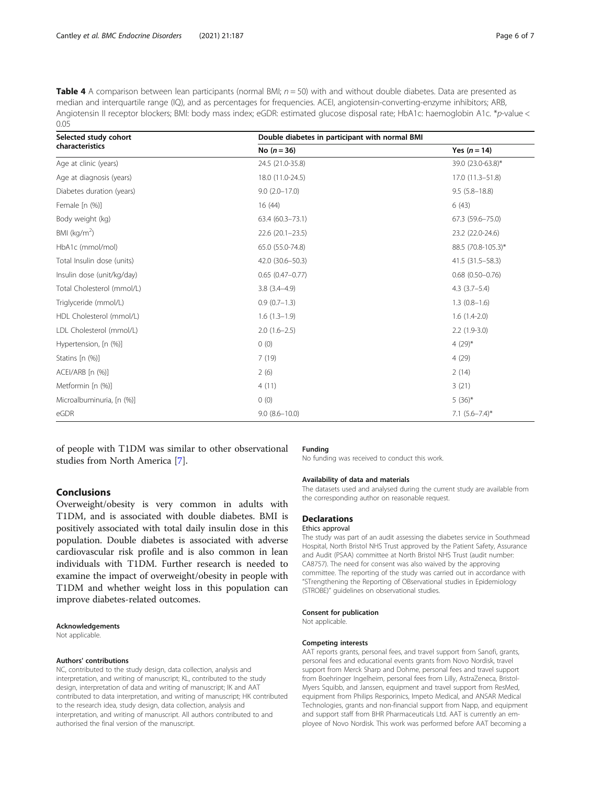<span id="page-5-0"></span>Table 4 A comparison between lean participants (normal BMI;  $n = 50$ ) with and without double diabetes. Data are presented as median and interquartile range (IQ), and as percentages for frequencies. ACEI, angiotensin-converting-enzyme inhibitors; ARB, Angiotensin II receptor blockers; BMI: body mass index; eGDR: estimated glucose disposal rate; HbA1c: haemoglobin A1c. \*p-value < 0.05

| Selected study cohort      | Double diabetes in participant with normal BMI |                     |  |
|----------------------------|------------------------------------------------|---------------------|--|
| characteristics            | No $(n = 36)$                                  | Yes $(n = 14)$      |  |
| Age at clinic (years)      | 24.5 (21.0-35.8)                               | 39.0 (23.0-63.8)*   |  |
| Age at diagnosis (years)   | 18.0 (11.0-24.5)                               | 17.0 (11.3-51.8)    |  |
| Diabetes duration (years)  | $9.0(2.0-17.0)$                                | $9.5(5.8 - 18.8)$   |  |
| Female [n (%)]             | 16(44)                                         | 6(43)               |  |
| Body weight (kg)           | 63.4 (60.3-73.1)                               | 67.3 (59.6 - 75.0)  |  |
| BMI ( $kg/m2$ )            | $22.6(20.1-23.5)$                              | 23.2 (22.0-24.6)    |  |
| HbA1c (mmol/mol)           | 65.0 (55.0-74.8)                               | 88.5 (70.8-105.3)*  |  |
| Total Insulin dose (units) | 42.0 (30.6-50.3)                               | 41.5 (31.5 - 58.3)  |  |
| Insulin dose (unit/kg/day) | $0.65(0.47 - 0.77)$                            | $0.68(0.50 - 0.76)$ |  |
| Total Cholesterol (mmol/L) | $3.8(3.4 - 4.9)$                               | $4.3(3.7-5.4)$      |  |
| Triglyceride (mmol/L)      | $0.9(0.7-1.3)$                                 | $1.3(0.8-1.6)$      |  |
| HDL Cholesterol (mmol/L)   | $1.6(1.3-1.9)$                                 | $1.6(1.4-2.0)$      |  |
| LDL Cholesterol (mmol/L)   | $2.0(1.6-2.5)$                                 | $2.2(1.9-3.0)$      |  |
| Hypertension, [n (%)]      | 0(0)                                           | 4 $(29)^*$          |  |
| Statins [n (%)]            | 7(19)                                          | 4(29)               |  |
| ACEI/ARB [n (%)]           | 2(6)                                           | 2(14)               |  |
| Metformin [n (%)]          | 4(11)                                          | 3(21)               |  |
| Microalbuminuria, [n (%)]  | 0(0)                                           | $5(36)^{*}$         |  |
| eGDR                       | $9.0(8.6 - 10.0)$                              | 7.1 $(5.6 - 7.4)^*$ |  |

of people with T1DM was similar to other observational studies from North America [[7\]](#page-6-0).

#### Funding

No funding was received to conduct this work.

# Conclusions

Overweight/obesity is very common in adults with T1DM, and is associated with double diabetes. BMI is positively associated with total daily insulin dose in this population. Double diabetes is associated with adverse cardiovascular risk profile and is also common in lean individuals with T1DM. Further research is needed to examine the impact of overweight/obesity in people with T1DM and whether weight loss in this population can improve diabetes-related outcomes.

#### Acknowledgements

Not applicable.

#### Authors' contributions

NC, contributed to the study design, data collection, analysis and interpretation, and writing of manuscript; KL, contributed to the study design, interpretation of data and writing of manuscript; IK and AAT contributed to data interpretation, and writing of manuscript; HK contributed to the research idea, study design, data collection, analysis and interpretation, and writing of manuscript. All authors contributed to and authorised the final version of the manuscript.

# Availability of data and materials

The datasets used and analysed during the current study are available from the corresponding author on reasonable request.

# **Declarations**

# Ethics approval

The study was part of an audit assessing the diabetes service in Southmead Hospital, North Bristol NHS Trust approved by the Patient Safety, Assurance and Audit (PSAA) committee at North Bristol NHS Trust (audit number: CA8757). The need for consent was also waived by the approving committee. The reporting of the study was carried out in accordance with "STrengthening the Reporting of OBservational studies in Epidemiology (STROBE)" guidelines on observational studies.

#### Consent for publication

Not applicable.

#### Competing interests

AAT reports grants, personal fees, and travel support from Sanofi, grants, personal fees and educational events grants from Novo Nordisk, travel support from Merck Sharp and Dohme, personal fees and travel support from Boehringer Ingelheim, personal fees from Lilly, AstraZeneca, Bristol-Myers Squibb, and Janssen, equipment and travel support from ResMed, equipment from Philips Resporinics, Impeto Medical, and ANSAR Medical Technologies, grants and non-financial support from Napp, and equipment and support staff from BHR Pharmaceuticals Ltd. AAT is currently an employee of Novo Nordisk. This work was performed before AAT becoming a